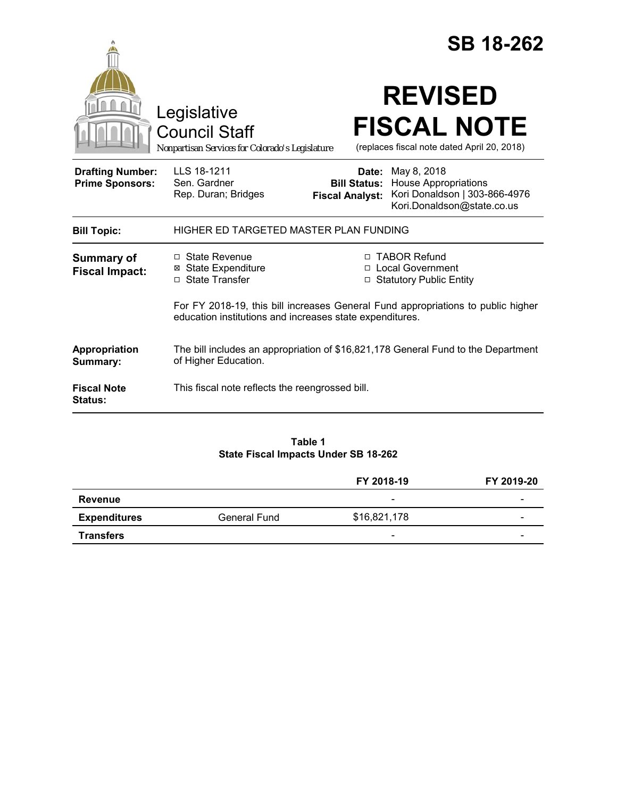|                                                   |                                                                                                           | <b>SB 18-262</b>                                       |                                                                                                                                                       |  |  |  |
|---------------------------------------------------|-----------------------------------------------------------------------------------------------------------|--------------------------------------------------------|-------------------------------------------------------------------------------------------------------------------------------------------------------|--|--|--|
|                                                   | Legislative<br><b>Council Staff</b><br>Nonpartisan Services for Colorado's Legislature                    |                                                        | <b>REVISED</b><br><b>FISCAL NOTE</b><br>(replaces fiscal note dated April 20, 2018)                                                                   |  |  |  |
| <b>Drafting Number:</b><br><b>Prime Sponsors:</b> | LLS 18-1211<br>Sen. Gardner<br>Rep. Duran; Bridges                                                        | Date:<br><b>Bill Status:</b><br><b>Fiscal Analyst:</b> | May 8, 2018<br><b>House Appropriations</b><br>Kori Donaldson   303-866-4976<br>Kori.Donaldson@state.co.us                                             |  |  |  |
| <b>Bill Topic:</b>                                | HIGHER ED TARGETED MASTER PLAN FUNDING                                                                    |                                                        |                                                                                                                                                       |  |  |  |
| <b>Summary of</b><br><b>Fiscal Impact:</b>        | □ State Revenue<br><b>⊠</b> State Expenditure<br>□ State Transfer                                         |                                                        | □ TABOR Refund<br>□ Local Government<br>□ Statutory Public Entity<br>For FY 2018-19, this bill increases General Fund appropriations to public higher |  |  |  |
|                                                   | education institutions and increases state expenditures.                                                  |                                                        |                                                                                                                                                       |  |  |  |
| Appropriation<br>Summary:                         | The bill includes an appropriation of \$16,821,178 General Fund to the Department<br>of Higher Education. |                                                        |                                                                                                                                                       |  |  |  |
| <b>Fiscal Note</b><br><b>Status:</b>              | This fiscal note reflects the reengrossed bill.                                                           |                                                        |                                                                                                                                                       |  |  |  |
|                                                   |                                                                                                           |                                                        |                                                                                                                                                       |  |  |  |

#### **Table 1 State Fiscal Impacts Under SB 18-262**

|                     |              | FY 2018-19               | FY 2019-20 |
|---------------------|--------------|--------------------------|------------|
| Revenue             |              | -                        |            |
| <b>Expenditures</b> | General Fund | \$16,821,178             | -          |
| <b>Transfers</b>    |              | $\overline{\phantom{a}}$ | -          |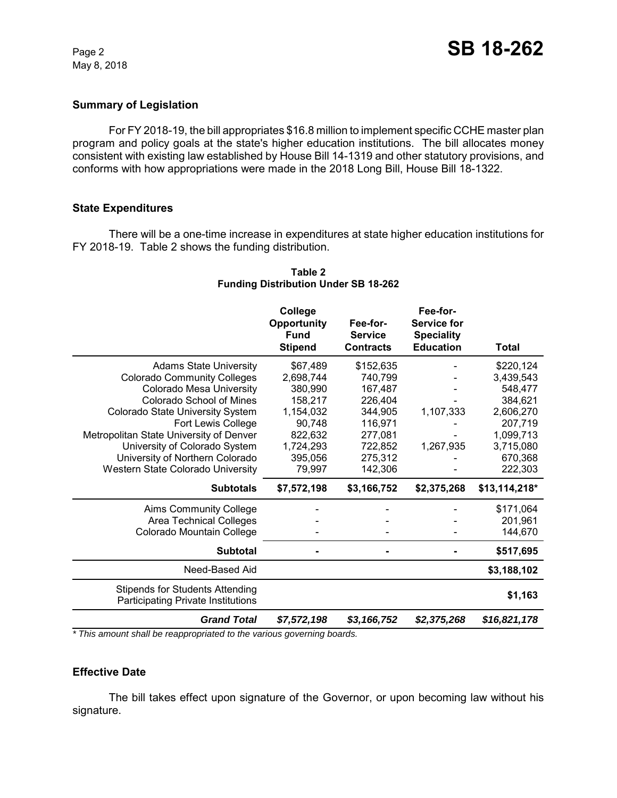May 8, 2018

#### **Summary of Legislation**

For FY 2018-19, the bill appropriates \$16.8 million to implement specific CCHE master plan program and policy goals at the state's higher education institutions. The bill allocates money consistent with existing law established by House Bill 14-1319 and other statutory provisions, and conforms with how appropriations were made in the 2018 Long Bill, House Bill 18-1322.

#### **State Expenditures**

There will be a one-time increase in expenditures at state higher education institutions for FY 2018-19. Table 2 shows the funding distribution.

|                                                                                     | College<br>Opportunity<br><b>Fund</b><br><b>Stipend</b> | Fee-for-<br><b>Service</b><br><b>Contracts</b> | Fee-for-<br><b>Service for</b><br><b>Speciality</b><br><b>Education</b> | <b>Total</b>  |
|-------------------------------------------------------------------------------------|---------------------------------------------------------|------------------------------------------------|-------------------------------------------------------------------------|---------------|
| <b>Adams State University</b>                                                       | \$67,489                                                | \$152,635                                      |                                                                         | \$220,124     |
| <b>Colorado Community Colleges</b>                                                  | 2,698,744                                               | 740,799                                        |                                                                         | 3,439,543     |
| Colorado Mesa University                                                            | 380,990                                                 | 167,487                                        |                                                                         | 548,477       |
| Colorado School of Mines                                                            | 158,217                                                 | 226,404                                        |                                                                         | 384,621       |
| Colorado State University System                                                    | 1,154,032                                               | 344,905                                        | 1,107,333                                                               | 2,606,270     |
| Fort Lewis College                                                                  | 90,748                                                  | 116,971                                        |                                                                         | 207,719       |
| Metropolitan State University of Denver                                             | 822,632                                                 | 277,081                                        |                                                                         | 1,099,713     |
| University of Colorado System                                                       | 1,724,293                                               | 722,852                                        | 1,267,935                                                               | 3,715,080     |
| University of Northern Colorado                                                     | 395,056                                                 | 275,312                                        |                                                                         | 670,368       |
| Western State Colorado University                                                   | 79,997                                                  | 142,306                                        |                                                                         | 222,303       |
| <b>Subtotals</b>                                                                    | \$7,572,198                                             | \$3,166,752                                    | \$2,375,268                                                             | \$13,114,218* |
| <b>Aims Community College</b>                                                       |                                                         |                                                |                                                                         | \$171,064     |
| <b>Area Technical Colleges</b>                                                      |                                                         |                                                |                                                                         | 201,961       |
| Colorado Mountain College                                                           |                                                         |                                                |                                                                         | 144,670       |
| <b>Subtotal</b>                                                                     |                                                         |                                                |                                                                         | \$517,695     |
| Need-Based Aid                                                                      |                                                         |                                                |                                                                         | \$3,188,102   |
| <b>Stipends for Students Attending</b><br><b>Participating Private Institutions</b> |                                                         |                                                |                                                                         | \$1,163       |
| <b>Grand Total</b>                                                                  | \$7,572,198                                             | \$3,166,752                                    | \$2,375,268                                                             | \$16,821,178  |

## **Table 2 Funding Distribution Under SB 18-262**

*\* This amount shall be reappropriated to the various governing boards.*

## **Effective Date**

The bill takes effect upon signature of the Governor, or upon becoming law without his signature.